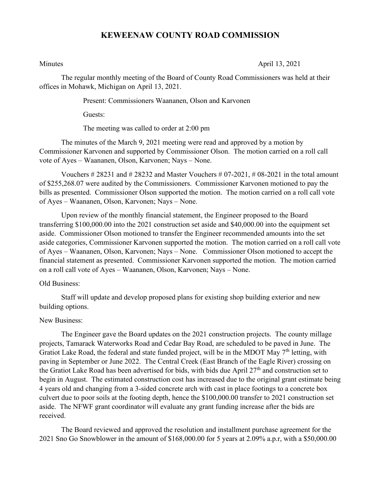## **KEWEENAW COUNTY ROAD COMMISSION**

Minutes April 13, 2021

The regular monthly meeting of the Board of County Road Commissioners was held at their offices in Mohawk, Michigan on April 13, 2021.

Present: Commissioners Waananen, Olson and Karvonen

Guests:

The meeting was called to order at 2:00 pm

The minutes of the March 9, 2021 meeting were read and approved by a motion by Commissioner Karvonen and supported by Commissioner Olson. The motion carried on a roll call vote of Ayes – Waananen, Olson, Karvonen; Nays – None.

Vouchers  $\# 28231$  and  $\# 28232$  and Master Vouchers  $\# 07-2021$ ,  $\# 08-2021$  in the total amount of \$255,268.07 were audited by the Commissioners. Commissioner Karvonen motioned to pay the bills as presented. Commissioner Olson supported the motion. The motion carried on a roll call vote of Ayes – Waananen, Olson, Karvonen; Nays – None.

Upon review of the monthly financial statement, the Engineer proposed to the Board transferring \$100,000.00 into the 2021 construction set aside and \$40,000.00 into the equipment set aside. Commissioner Olson motioned to transfer the Engineer recommended amounts into the set aside categories, Commissioner Karvonen supported the motion. The motion carried on a roll call vote of Ayes – Waananen, Olson, Karvonen; Nays – None. Commissioner Olson motioned to accept the financial statement as presented. Commissioner Karvonen supported the motion. The motion carried on a roll call vote of Ayes – Waananen, Olson, Karvonen; Nays – None.

## Old Business:

Staff will update and develop proposed plans for existing shop building exterior and new building options.

## New Business:

The Engineer gave the Board updates on the 2021 construction projects. The county millage projects, Tamarack Waterworks Road and Cedar Bay Road, are scheduled to be paved in June. The Gratiot Lake Road, the federal and state funded project, will be in the MDOT May 7<sup>th</sup> letting, with paving in September or June 2022. The Central Creek (East Branch of the Eagle River) crossing on the Gratiot Lake Road has been advertised for bids, with bids due April 27<sup>th</sup> and construction set to begin in August. The estimated construction cost has increased due to the original grant estimate being 4 years old and changing from a 3-sided concrete arch with cast in place footings to a concrete box culvert due to poor soils at the footing depth, hence the \$100,000.00 transfer to 2021 construction set aside. The NFWF grant coordinator will evaluate any grant funding increase after the bids are received.

The Board reviewed and approved the resolution and installment purchase agreement for the 2021 Sno Go Snowblower in the amount of \$168,000.00 for 5 years at 2.09% a.p.r, with a \$50,000.00